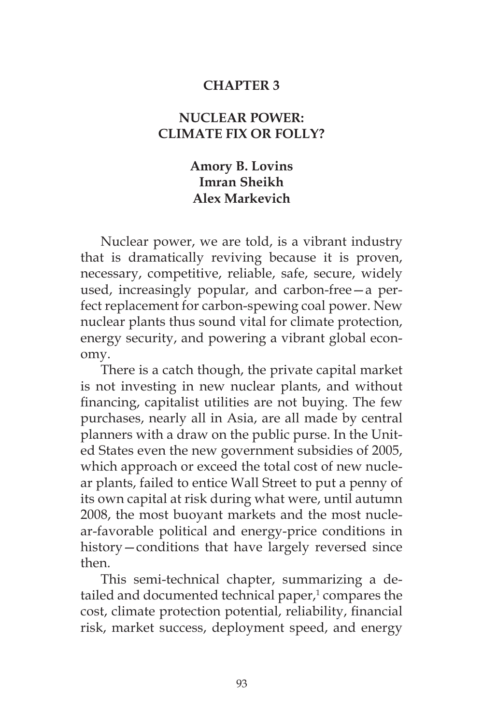#### **CHAPTER 3**

# **NUCLEAR POWER: CLIMATE FIX OR FOLLY?**

# **Amory B. Lovins Imran Sheikh Alex Markevich**

Nuclear power, we are told, is a vibrant industry that is dramatically reviving because it is proven, necessary, competitive, reliable, safe, secure, widely used, increasingly popular, and carbon-free—a perfect replacement for carbon-spewing coal power. New nuclear plants thus sound vital for climate protection, energy security, and powering a vibrant global economy.

There is a catch though, the private capital market is not investing in new nuclear plants, and without financing, capitalist utilities are not buying. The few purchases, nearly all in Asia, are all made by central planners with a draw on the public purse. In the United States even the new government subsidies of 2005, which approach or exceed the total cost of new nuclear plants, failed to entice Wall Street to put a penny of its own capital at risk during what were, until autumn 2008, the most buoyant markets and the most nuclear-favorable political and energy-price conditions in history—conditions that have largely reversed since then.

This semi-technical chapter, summarizing a detailed and documented technical paper,<sup>1</sup> compares the cost, climate protection potential, reliability, financial risk, market success, deployment speed, and energy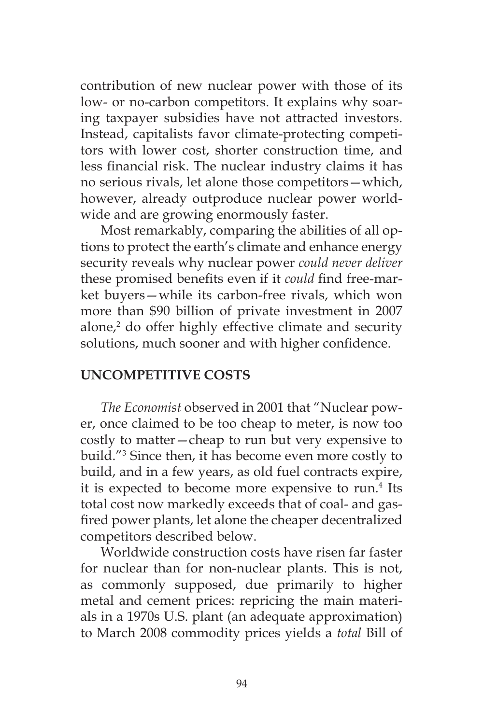contribution of new nuclear power with those of its low- or no-carbon competitors. It explains why soaring taxpayer subsidies have not attracted investors. Instead, capitalists favor climate-protecting competitors with lower cost, shorter construction time, and less financial risk. The nuclear industry claims it has no serious rivals, let alone those competitors—which, however, already outproduce nuclear power worldwide and are growing enormously faster.

Most remarkably, comparing the abilities of all options to protect the earth's climate and enhance energy security reveals why nuclear power *could never deliver* these promised benefits even if it *could* find free-market buyers—while its carbon-free rivals, which won more than \$90 billion of private investment in 2007 alone,<sup>2</sup> do offer highly effective climate and security solutions, much sooner and with higher confidence.

## **UNCOMPETITIVE COSTS**

*The Economist* observed in 2001 that "Nuclear power, once claimed to be too cheap to meter, is now too costly to matter—cheap to run but very expensive to build."3 Since then, it has become even more costly to build, and in a few years, as old fuel contracts expire, it is expected to become more expensive to run.4 Its total cost now markedly exceeds that of coal- and gasfired power plants, let alone the cheaper decentralized competitors described below.

Worldwide construction costs have risen far faster for nuclear than for non-nuclear plants. This is not, as commonly supposed, due primarily to higher metal and cement prices: repricing the main materials in a 1970s U.S. plant (an adequate approximation) to March 2008 commodity prices yields a *total* Bill of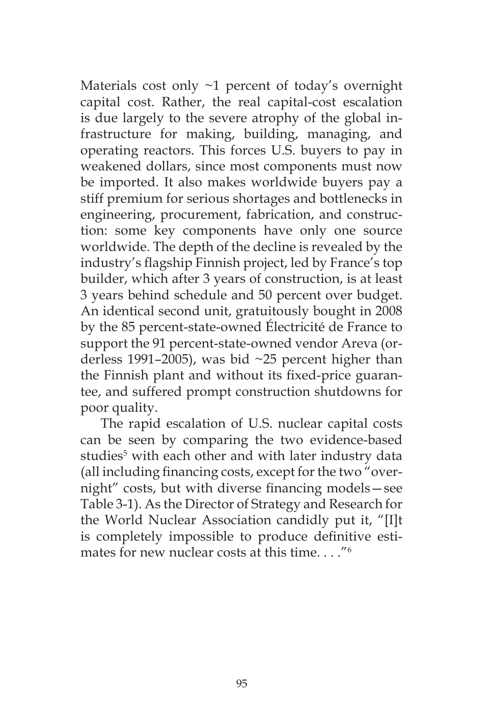Materials cost only ~1 percent of today's overnight capital cost. Rather, the real capital-cost escalation is due largely to the severe atrophy of the global infrastructure for making, building, managing, and operating reactors. This forces U.S. buyers to pay in weakened dollars, since most components must now be imported. It also makes worldwide buyers pay a stiff premium for serious shortages and bottlenecks in engineering, procurement, fabrication, and construction: some key components have only one source worldwide. The depth of the decline is revealed by the industry's flagship Finnish project, led by France's top builder, which after 3 years of construction, is at least 3 years behind schedule and 50 percent over budget. An identical second unit, gratuitously bought in 2008 by the 85 percent-state-owned Électricité de France to support the 91 percent-state-owned vendor Areva (orderless 1991–2005), was bid ~25 percent higher than the Finnish plant and without its fixed-price guarantee, and suffered prompt construction shutdowns for poor quality.

The rapid escalation of U.S. nuclear capital costs can be seen by comparing the two evidence-based studies<sup>5</sup> with each other and with later industry data (all including financing costs, except for the two "overnight" costs, but with diverse financing models—see Table 3-1). As the Director of Strategy and Research for the World Nuclear Association candidly put it, "[I]t is completely impossible to produce definitive estimates for new nuclear costs at this time. . . ."6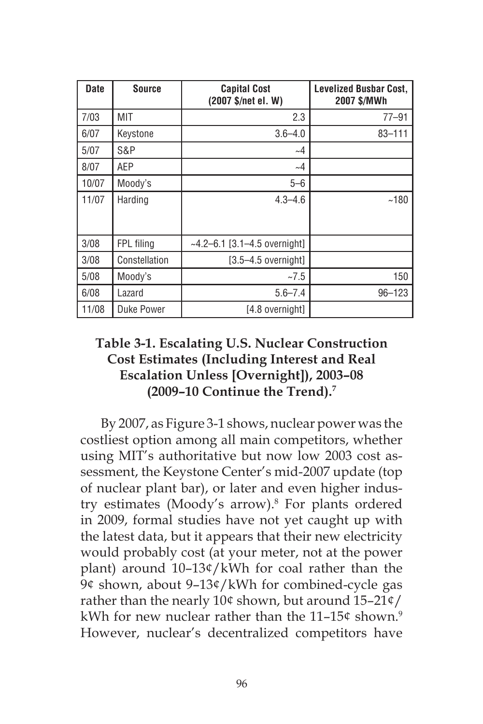| <b>Date</b> | <b>Source</b> | <b>Capital Cost</b><br>(2007 \$/net el. W) | <b>Levelized Busbar Cost,</b><br>2007 \$/MWh |
|-------------|---------------|--------------------------------------------|----------------------------------------------|
| 7/03        | MIT           | 2.3                                        | $77 - 91$                                    |
| 6/07        | Keystone      | $3.6 - 4.0$                                | $83 - 111$                                   |
| 5/07        | S&P           | $\sim$ 4                                   |                                              |
| 8/07        | AEP           | $\sim$ 4                                   |                                              |
| 10/07       | Moody's       | $5 - 6$                                    |                                              |
| 11/07       | Harding       | $4.3 - 4.6$                                | ~180                                         |
| 3/08        | FPL filing    | $~1$ -4.2–6.1 [3.1–4.5 overnight]          |                                              |
| 3/08        | Constellation | $[3.5 - 4.5$ overnight]                    |                                              |
| 5/08        | Moody's       | ~27.5                                      | 150                                          |
| 6/08        | Lazard        | $5.6 - 7.4$                                | $96 - 123$                                   |
| 11/08       | Duke Power    | [4.8 overnight]                            |                                              |

# **Table 3-1. Escalating U.S. Nuclear Construction Cost Estimates (Including Interest and Real Escalation Unless [Overnight]), 2003–08 (2009–10 Continue the Trend).7**

By 2007, as Figure 3-1 shows, nuclear power was the costliest option among all main competitors, whether using MIT's authoritative but now low 2003 cost assessment, the Keystone Center's mid-2007 update (top of nuclear plant bar), or later and even higher industry estimates (Moody's arrow).8 For plants ordered in 2009, formal studies have not yet caught up with the latest data, but it appears that their new electricity would probably cost (at your meter, not at the power plant) around 10–13¢/kWh for coal rather than the 9¢ shown, about 9–13¢/kWh for combined-cycle gas rather than the nearly 10¢ shown, but around 15–21¢/ kWh for new nuclear rather than the  $11-15$ ¢ shown.<sup>9</sup> However, nuclear's decentralized competitors have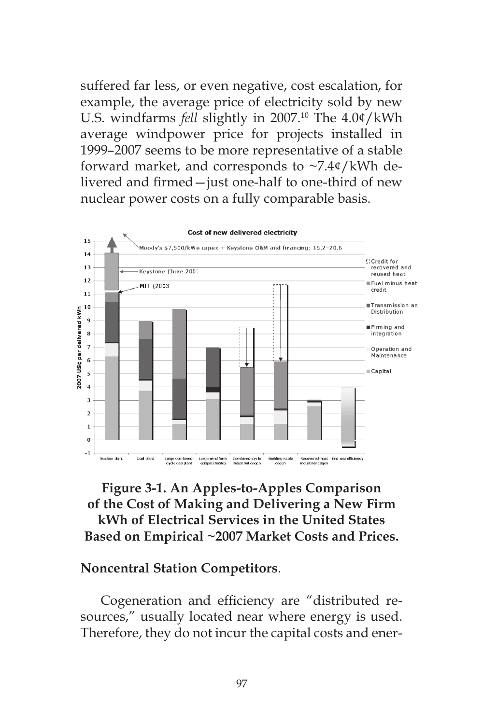suffered far less, or even negative, cost escalation, for example, the average price of electricity sold by new U.S. windfarms *fell* slightly in 2007.<sup>10</sup> The 4.0¢/kWh average windpower price for projects installed in 1999–2007 seems to be more representative of a stable forward market, and corresponds to ~7.4¢/kWh delivered and firmed—just one-half to one-third of new nuclear power costs on a fully comparable basis.



# **Figure 3-1. An Apples-to-Apples Comparison of the Cost of Making and Delivering a New Firm kWh of Electrical Services in the United States Based on Empirical ~2007 Market Costs and Prices.**

#### **Noncentral Station Competitors**.

Cogeneration and efficiency are "distributed resources," usually located near where energy is used. Therefore, they do not incur the capital costs and ener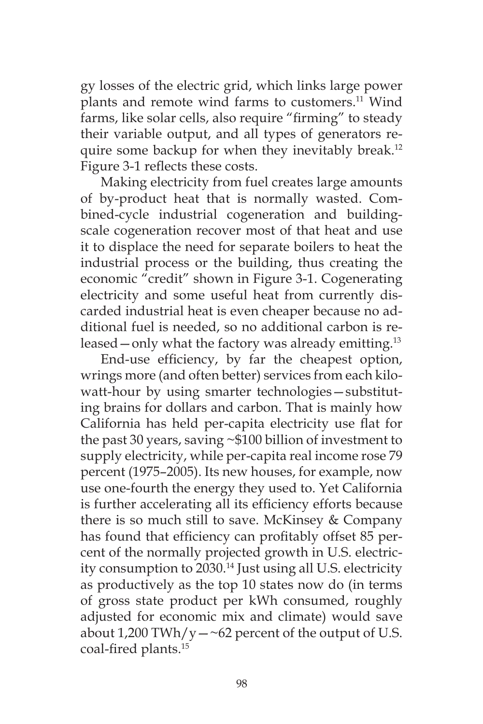gy losses of the electric grid, which links large power plants and remote wind farms to customers.<sup>11</sup> Wind farms, like solar cells, also require "firming" to steady their variable output, and all types of generators require some backup for when they inevitably break.<sup>12</sup> Figure 3-1 reflects these costs.

Making electricity from fuel creates large amounts of by-product heat that is normally wasted. Combined-cycle industrial cogeneration and buildingscale cogeneration recover most of that heat and use it to displace the need for separate boilers to heat the industrial process or the building, thus creating the economic "credit" shown in Figure 3-1. Cogenerating electricity and some useful heat from currently discarded industrial heat is even cheaper because no additional fuel is needed, so no additional carbon is released  $-$  only what the factory was already emitting.<sup>13</sup>

End-use efficiency, by far the cheapest option, wrings more (and often better) services from each kilowatt-hour by using smarter technologies—substituting brains for dollars and carbon. That is mainly how California has held per-capita electricity use flat for the past 30 years, saving ~\$100 billion of investment to supply electricity, while per-capita real income rose 79 percent (1975–2005). Its new houses, for example, now use one-fourth the energy they used to. Yet California is further accelerating all its efficiency efforts because there is so much still to save. McKinsey & Company has found that efficiency can profitably offset 85 percent of the normally projected growth in U.S. electricity consumption to 2030.14 Just using all U.S. electricity as productively as the top 10 states now do (in terms of gross state product per kWh consumed, roughly adjusted for economic mix and climate) would save about 1,200 TWh/y $-\textless 62$  percent of the output of U.S. coal-fired plants.15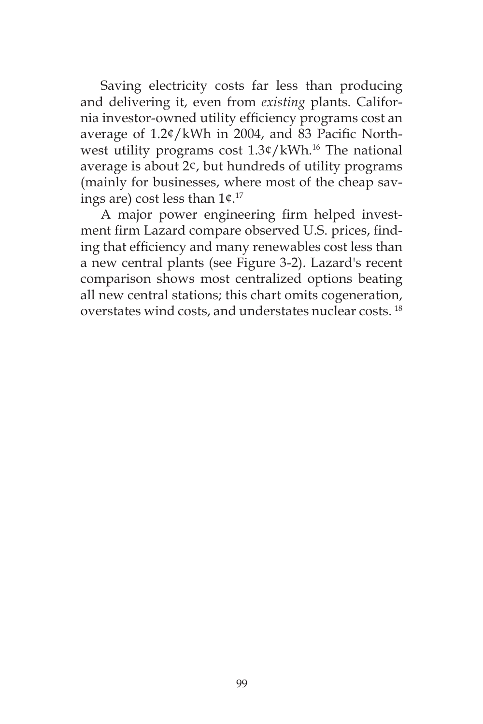Saving electricity costs far less than producing and delivering it, even from *existing* plants. California investor-owned utility efficiency programs cost an average of 1.2¢/kWh in 2004, and 83 Pacific Northwest utility programs cost  $1.3¢/kWh.<sup>16</sup>$  The national average is about 2¢, but hundreds of utility programs (mainly for businesses, where most of the cheap savings are) cost less than 1¢.17

A major power engineering firm helped investment firm Lazard compare observed U.S. prices, finding that efficiency and many renewables cost less than a new central plants (see Figure 3-2). Lazard's recent comparison shows most centralized options beating all new central stations; this chart omits cogeneration, overstates wind costs, and understates nuclear costs. 18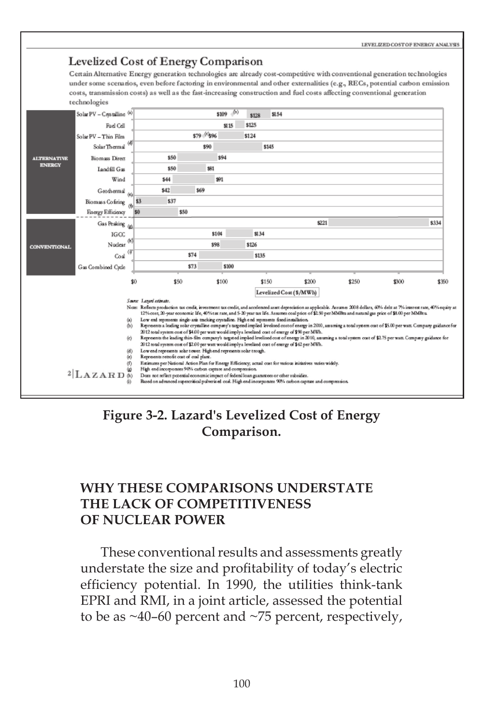

**Figure 3-2. Lazard's Levelized Cost of Energy Comparison.**

# **WHY THESE COMPARISONS UNDERSTATE THE LACK OF COMPETITIVENESS OF NUCLEAR POWER**

These conventional results and assessments greatly understate the size and profitability of today's electric efficiency potential. In 1990, the utilities think-tank EPRI and RMI, in a joint article, assessed the potential to be as  $\sim$ 40–60 percent and  $\sim$ 75 percent, respectively,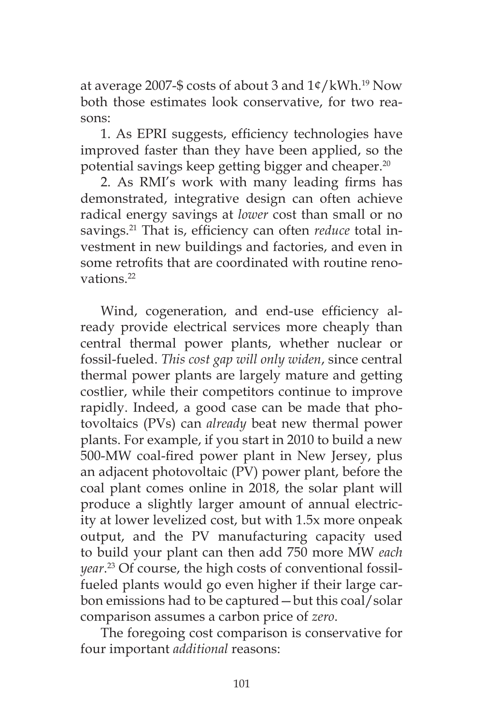at average 2007-\$ costs of about 3 and 1¢/kWh.19 Now both those estimates look conservative, for two reasons:

1. As EPRI suggests, efficiency technologies have improved faster than they have been applied, so the potential savings keep getting bigger and cheaper.20

2. As RMI's work with many leading firms has demonstrated, integrative design can often achieve radical energy savings at *lower* cost than small or no savings.21 That is, efficiency can often *reduce* total investment in new buildings and factories, and even in some retrofits that are coordinated with routine renovations<sup>22</sup>

Wind, cogeneration, and end-use efficiency already provide electrical services more cheaply than central thermal power plants, whether nuclear or fossil-fueled. *This cost gap will only widen*, since central thermal power plants are largely mature and getting costlier, while their competitors continue to improve rapidly. Indeed, a good case can be made that photovoltaics (PVs) can *already* beat new thermal power plants. For example, if you start in 2010 to build a new 500-MW coal-fired power plant in New Jersey, plus an adjacent photovoltaic (PV) power plant, before the coal plant comes online in 2018, the solar plant will produce a slightly larger amount of annual electricity at lower levelized cost, but with 1.5x more onpeak output, and the PV manufacturing capacity used to build your plant can then add 750 more MW *each year*. 23 Of course, the high costs of conventional fossilfueled plants would go even higher if their large carbon emissions had to be captured—but this coal/solar comparison assumes a carbon price of *zero*.

The foregoing cost comparison is conservative for four important *additional* reasons: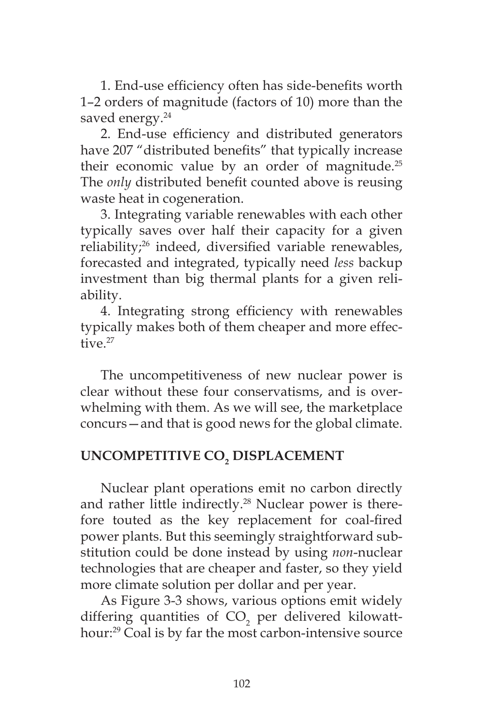1. End-use efficiency often has side-benefits worth 1–2 orders of magnitude (factors of 10) more than the saved energy.<sup>24</sup>

2. End-use efficiency and distributed generators have 207 "distributed benefits" that typically increase their economic value by an order of magnitude.<sup>25</sup> The *only* distributed benefit counted above is reusing waste heat in cogeneration.

3. Integrating variable renewables with each other typically saves over half their capacity for a given reliability;26 indeed, diversified variable renewables, forecasted and integrated, typically need *less* backup investment than big thermal plants for a given reliability.

4. Integrating strong efficiency with renewables typically makes both of them cheaper and more effective.<sup>27</sup>

The uncompetitiveness of new nuclear power is clear without these four conservatisms, and is overwhelming with them. As we will see, the marketplace concurs—and that is good news for the global climate.

# **UNCOMPETITIVE CO2 DISPLACEMENT**

Nuclear plant operations emit no carbon directly and rather little indirectly.<sup>28</sup> Nuclear power is therefore touted as the key replacement for coal-fired power plants. But this seemingly straightforward substitution could be done instead by using *non*-nuclear technologies that are cheaper and faster, so they yield more climate solution per dollar and per year.

As Figure 3-3 shows, various options emit widely differing quantities of  $CO<sub>2</sub>$  per delivered kilowatthour:29 Coal is by far the most carbon-intensive source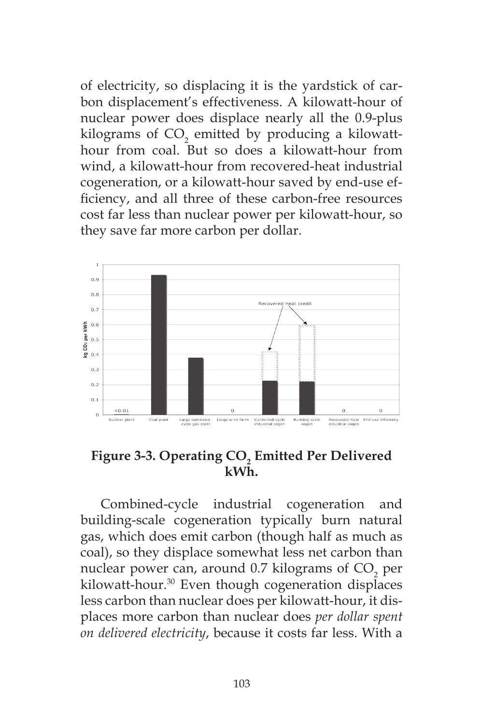of electricity, so displacing it is the yardstick of carbon displacement's effectiveness. A kilowatt-hour of nuclear power does displace nearly all the 0.9-plus kilograms of  $\mathrm{CO}_2$  emitted by producing a kilowatthour from coal. But so does a kilowatt-hour from wind, a kilowatt-hour from recovered-heat industrial cogeneration, or a kilowatt-hour saved by end-use efficiency, and all three of these carbon-free resources cost far less than nuclear power per kilowatt-hour, so they save far more carbon per dollar.



**Figure 3-3. Operating CO2 Emitted Per Delivered kWh.**

Combined-cycle industrial cogeneration and building-scale cogeneration typically burn natural gas, which does emit carbon (though half as much as coal), so they displace somewhat less net carbon than nuclear power can, around 0.7 kilograms of  $\mathrm{CO}_2^{\phantom{\dag}}$  per kilowatt-hour.30 Even though cogeneration displaces less carbon than nuclear does per kilowatt-hour, it displaces more carbon than nuclear does *per dollar spent on delivered electricity*, because it costs far less. With a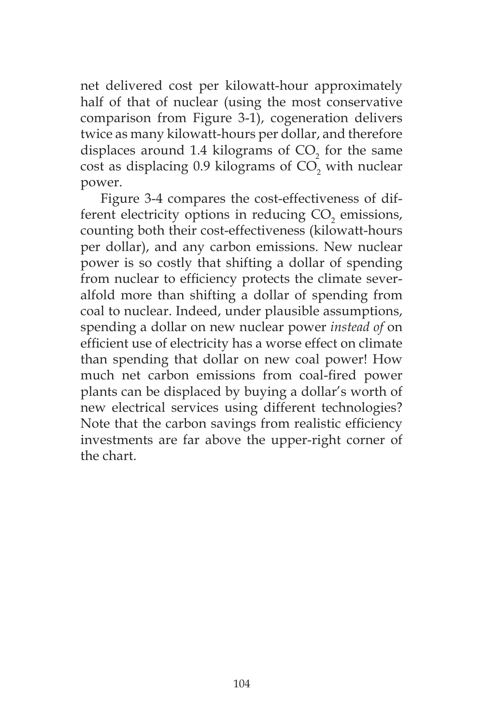net delivered cost per kilowatt-hour approximately half of that of nuclear (using the most conservative comparison from Figure 3-1), cogeneration delivers twice as many kilowatt-hours per dollar, and therefore displaces around  $1.4$  kilograms of  $CO<sub>2</sub>$  for the same cost as displacing 0.9 kilograms of  $\mathrm{CO}_2$  with nuclear power.

Figure 3-4 compares the cost-effectiveness of different electricity options in reducing  $CO<sub>2</sub>$  emissions, counting both their cost-effectiveness (kilowatt-hours per dollar), and any carbon emissions. New nuclear power is so costly that shifting a dollar of spending from nuclear to efficiency protects the climate severalfold more than shifting a dollar of spending from coal to nuclear. Indeed, under plausible assumptions, spending a dollar on new nuclear power *instead of* on efficient use of electricity has a worse effect on climate than spending that dollar on new coal power! How much net carbon emissions from coal-fired power plants can be displaced by buying a dollar's worth of new electrical services using different technologies? Note that the carbon savings from realistic efficiency investments are far above the upper-right corner of the chart.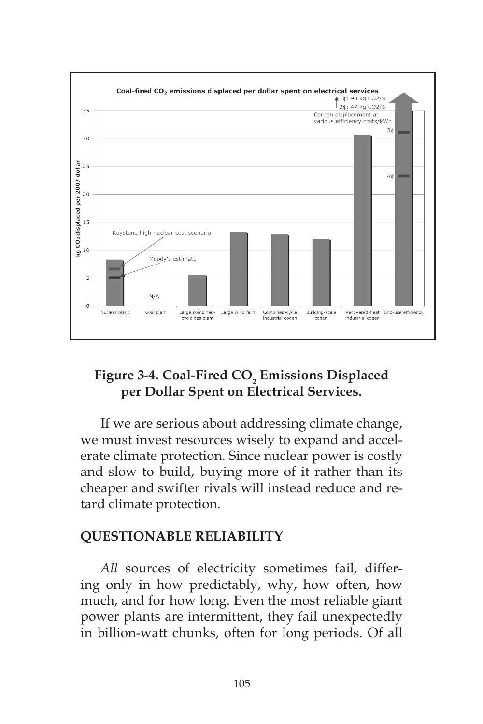

# **Figure 3-4. Coal-Fired CO2 Emissions Displaced per Dollar Spent on Electrical Services.**

If we are serious about addressing climate change, we must invest resources wisely to expand and accelerate climate protection. Since nuclear power is costly and slow to build, buying more of it rather than its cheaper and swifter rivals will instead reduce and retard climate protection.

## **QUESTIONABLE RELIABILITY**

All sources of electricity sometimes fail, differing only in how predictably, why, how often, how much, and for how long. Even the most reliable giant power plants are intermittent, they fail unexpectedly in billion-watt chunks, often for long periods. Of all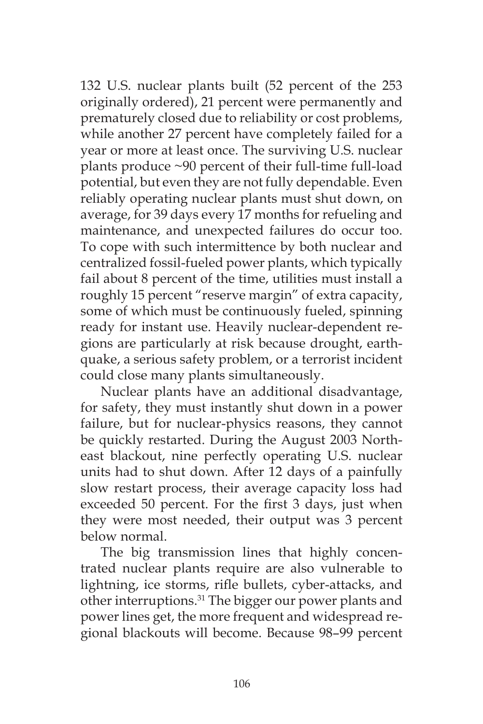132 U.S. nuclear plants built (52 percent of the 253 originally ordered), 21 percent were permanently and prematurely closed due to reliability or cost problems, while another 27 percent have completely failed for a year or more at least once. The surviving U.S. nuclear plants produce ~90 percent of their full-time full-load potential, but even they are not fully dependable. Even reliably operating nuclear plants must shut down, on average, for 39 days every 17 months for refueling and maintenance, and unexpected failures do occur too. To cope with such intermittence by both nuclear and centralized fossil-fueled power plants, which typically fail about 8 percent of the time, utilities must install a roughly 15 percent "reserve margin" of extra capacity, some of which must be continuously fueled, spinning ready for instant use. Heavily nuclear-dependent regions are particularly at risk because drought, earthquake, a serious safety problem, or a terrorist incident could close many plants simultaneously.

Nuclear plants have an additional disadvantage, for safety, they must instantly shut down in a power failure, but for nuclear-physics reasons, they cannot be quickly restarted. During the August 2003 Northeast blackout, nine perfectly operating U.S. nuclear units had to shut down. After 12 days of a painfully slow restart process, their average capacity loss had exceeded 50 percent. For the first 3 days, just when they were most needed, their output was 3 percent below normal.

The big transmission lines that highly concentrated nuclear plants require are also vulnerable to lightning, ice storms, rifle bullets, cyber-attacks, and other interruptions.<sup>31</sup> The bigger our power plants and power lines get, the more frequent and widespread regional blackouts will become. Because 98–99 percent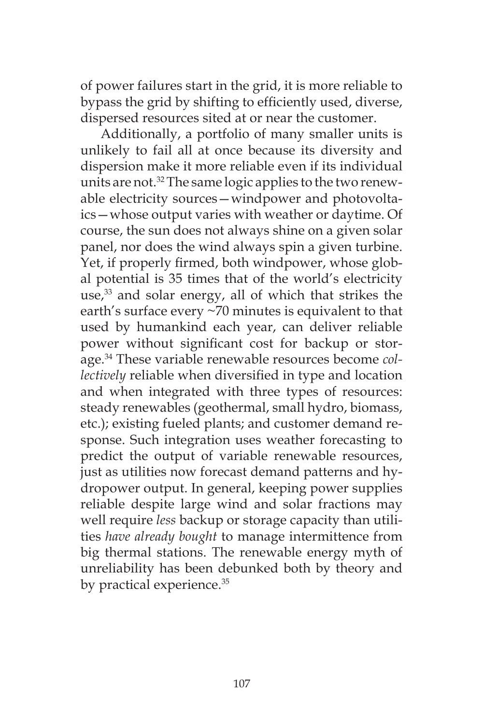of power failures start in the grid, it is more reliable to bypass the grid by shifting to efficiently used, diverse, dispersed resources sited at or near the customer.

Additionally, a portfolio of many smaller units is unlikely to fail all at once because its diversity and dispersion make it more reliable even if its individual units are not.<sup>32</sup> The same logic applies to the two renewable electricity sources—windpower and photovoltaics—whose output varies with weather or daytime. Of course, the sun does not always shine on a given solar panel, nor does the wind always spin a given turbine. Yet, if properly firmed, both windpower, whose global potential is 35 times that of the world's electricity use, $33$  and solar energy, all of which that strikes the earth's surface every ~70 minutes is equivalent to that used by humankind each year, can deliver reliable power without significant cost for backup or storage.34 These variable renewable resources become *collectively* reliable when diversified in type and location and when integrated with three types of resources: steady renewables (geothermal, small hydro, biomass, etc.); existing fueled plants; and customer demand response. Such integration uses weather forecasting to predict the output of variable renewable resources, just as utilities now forecast demand patterns and hydropower output. In general, keeping power supplies reliable despite large wind and solar fractions may well require *less* backup or storage capacity than utilities *have already bought* to manage intermittence from big thermal stations. The renewable energy myth of unreliability has been debunked both by theory and by practical experience.<sup>35</sup>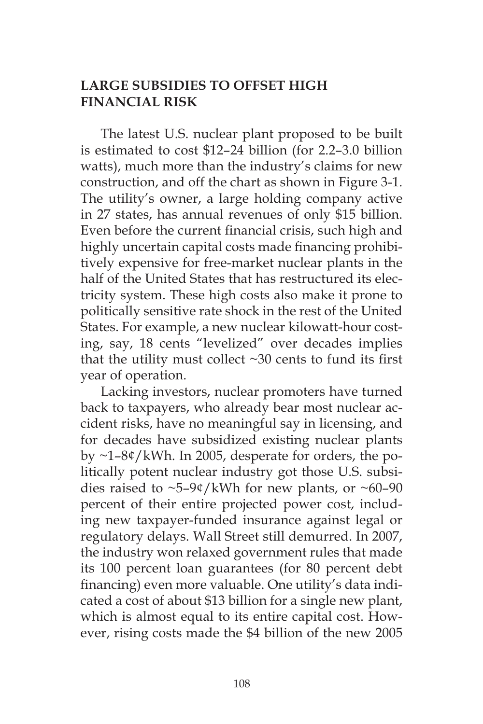# **LARGE SUBSIDIES TO OFFSET HIGH FINANCIAL RISK**

The latest U.S. nuclear plant proposed to be built is estimated to cost \$12–24 billion (for 2.2–3.0 billion watts), much more than the industry's claims for new construction, and off the chart as shown in Figure 3-1. The utility's owner, a large holding company active in 27 states, has annual revenues of only \$15 billion. Even before the current financial crisis, such high and highly uncertain capital costs made financing prohibitively expensive for free-market nuclear plants in the half of the United States that has restructured its electricity system. These high costs also make it prone to politically sensitive rate shock in the rest of the United States. For example, a new nuclear kilowatt-hour costing, say, 18 cents "levelized" over decades implies that the utility must collect ~30 cents to fund its first year of operation.

Lacking investors, nuclear promoters have turned back to taxpayers, who already bear most nuclear accident risks, have no meaningful say in licensing, and for decades have subsidized existing nuclear plants by ~1–8¢/kWh. In 2005, desperate for orders, the politically potent nuclear industry got those U.S. subsidies raised to  $\sim$ 5–9¢/kWh for new plants, or  $\sim$ 60–90 percent of their entire projected power cost, including new taxpayer-funded insurance against legal or regulatory delays. Wall Street still demurred. In 2007, the industry won relaxed government rules that made its 100 percent loan guarantees (for 80 percent debt financing) even more valuable. One utility's data indicated a cost of about \$13 billion for a single new plant, which is almost equal to its entire capital cost. However, rising costs made the \$4 billion of the new 2005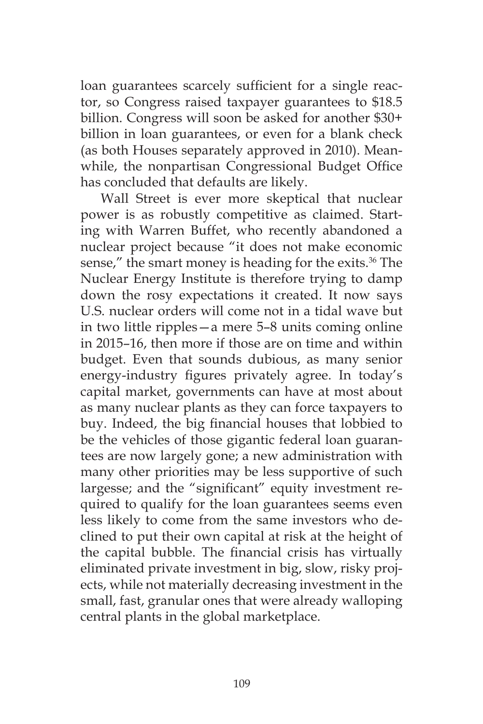loan guarantees scarcely sufficient for a single reactor, so Congress raised taxpayer guarantees to \$18.5 billion. Congress will soon be asked for another \$30+ billion in loan guarantees, or even for a blank check (as both Houses separately approved in 2010). Meanwhile, the nonpartisan Congressional Budget Office has concluded that defaults are likely.

Wall Street is ever more skeptical that nuclear power is as robustly competitive as claimed. Starting with Warren Buffet, who recently abandoned a nuclear project because "it does not make economic sense," the smart money is heading for the exits.<sup>36</sup> The Nuclear Energy Institute is therefore trying to damp down the rosy expectations it created. It now says U.S. nuclear orders will come not in a tidal wave but in two little ripples—a mere 5–8 units coming online in 2015–16, then more if those are on time and within budget. Even that sounds dubious, as many senior energy-industry figures privately agree. In today's capital market, governments can have at most about as many nuclear plants as they can force taxpayers to buy. Indeed, the big financial houses that lobbied to be the vehicles of those gigantic federal loan guarantees are now largely gone; a new administration with many other priorities may be less supportive of such largesse; and the "significant" equity investment required to qualify for the loan guarantees seems even less likely to come from the same investors who declined to put their own capital at risk at the height of the capital bubble. The financial crisis has virtually eliminated private investment in big, slow, risky projects, while not materially decreasing investment in the small, fast, granular ones that were already walloping central plants in the global marketplace.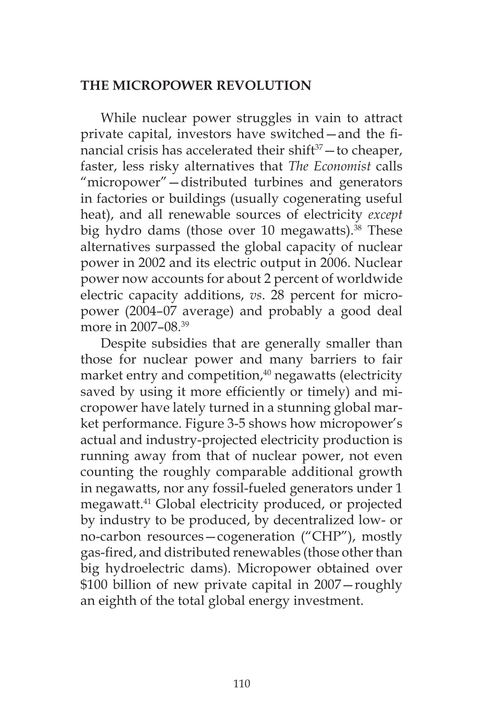## **THE MICROPOWER REVOLUTION**

While nuclear power struggles in vain to attract private capital, investors have switched—and the financial crisis has accelerated their shift $37 -$ to cheaper, faster, less risky alternatives that *The Economist* calls "micropower"—distributed turbines and generators in factories or buildings (usually cogenerating useful heat), and all renewable sources of electricity *except* big hydro dams (those over 10 megawatts). $38$  These alternatives surpassed the global capacity of nuclear power in 2002 and its electric output in 2006. Nuclear power now accounts for about 2 percent of worldwide electric capacity additions, *vs*. 28 percent for micropower (2004–07 average) and probably a good deal more in 2007–08.39

Despite subsidies that are generally smaller than those for nuclear power and many barriers to fair market entry and competition,<sup>40</sup> negawatts (electricity saved by using it more efficiently or timely) and micropower have lately turned in a stunning global market performance. Figure 3-5 shows how micropower's actual and industry-projected electricity production is running away from that of nuclear power, not even counting the roughly comparable additional growth in negawatts, nor any fossil-fueled generators under 1 megawatt.41 Global electricity produced, or projected by industry to be produced, by decentralized low- or no-carbon resources—cogeneration ("CHP"), mostly gas-fired, and distributed renewables (those other than big hydroelectric dams). Micropower obtained over \$100 billion of new private capital in 2007—roughly an eighth of the total global energy investment.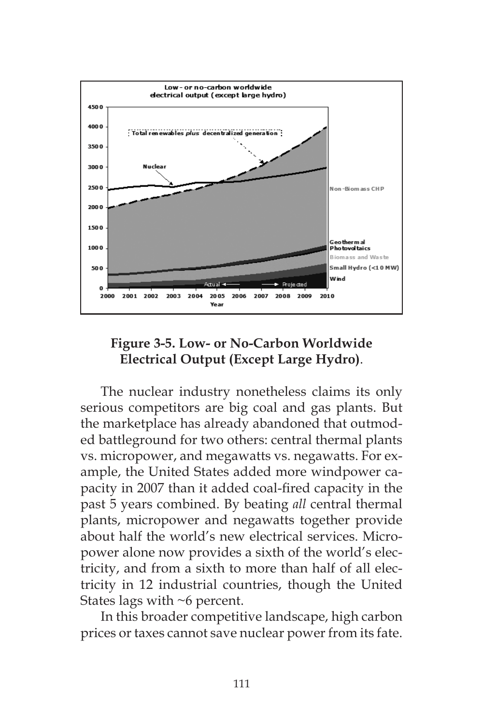

# **Figure 3-5. Low- or No-Carbon Worldwide Electrical Output (Except Large Hydro)**.

The nuclear industry nonetheless claims its only serious competitors are big coal and gas plants. But the marketplace has already abandoned that outmoded battleground for two others: central thermal plants vs. micropower, and megawatts vs. negawatts. For example, the United States added more windpower capacity in 2007 than it added coal-fired capacity in the past 5 years combined. By beating *all* central thermal plants, micropower and negawatts together provide about half the world's new electrical services. Micropower alone now provides a sixth of the world's electricity, and from a sixth to more than half of all electricity in 12 industrial countries, though the United States lags with ~6 percent.

In this broader competitive landscape, high carbon prices or taxes cannot save nuclear power from its fate.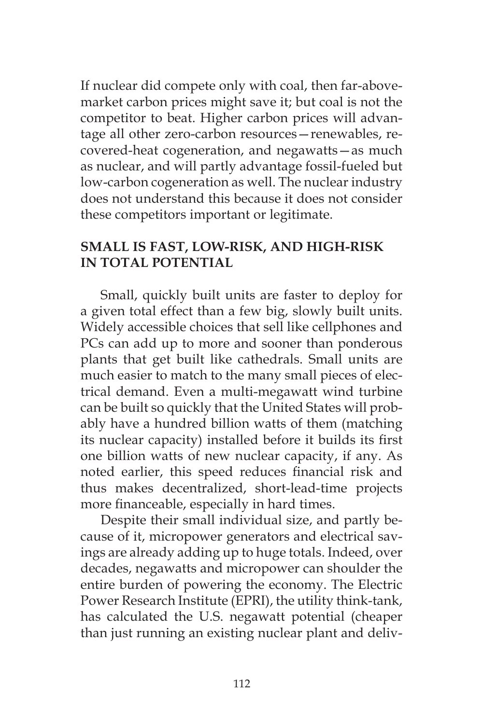If nuclear did compete only with coal, then far-abovemarket carbon prices might save it; but coal is not the competitor to beat. Higher carbon prices will advantage all other zero-carbon resources—renewables, recovered-heat cogeneration, and negawatts—as much as nuclear, and will partly advantage fossil-fueled but low-carbon cogeneration as well. The nuclear industry does not understand this because it does not consider these competitors important or legitimate.

# **SMALL IS FAST, LOW-RISK, AND HIGH-RISK IN TOTAL POTENTIAL**

Small, quickly built units are faster to deploy for a given total effect than a few big, slowly built units. Widely accessible choices that sell like cellphones and PCs can add up to more and sooner than ponderous plants that get built like cathedrals. Small units are much easier to match to the many small pieces of electrical demand. Even a multi-megawatt wind turbine can be built so quickly that the United States will probably have a hundred billion watts of them (matching its nuclear capacity) installed before it builds its first one billion watts of new nuclear capacity, if any. As noted earlier, this speed reduces financial risk and thus makes decentralized, short-lead-time projects more financeable, especially in hard times.

Despite their small individual size, and partly because of it, micropower generators and electrical savings are already adding up to huge totals. Indeed, over decades, negawatts and micropower can shoulder the entire burden of powering the economy. The Electric Power Research Institute (EPRI), the utility think-tank, has calculated the U.S. negawatt potential (cheaper than just running an existing nuclear plant and deliv-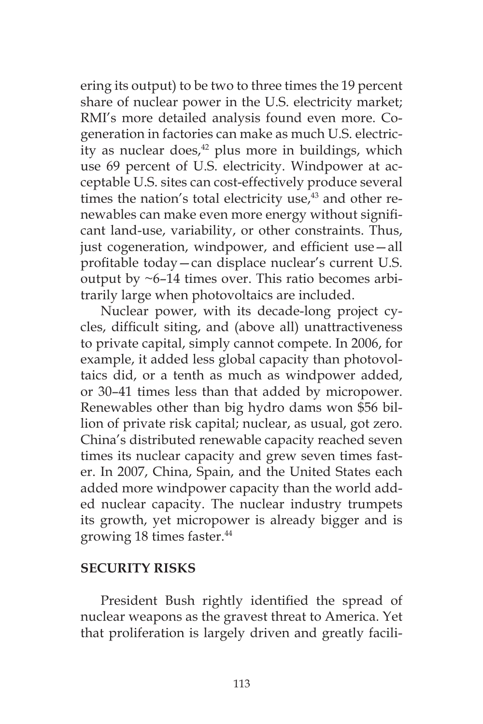ering its output) to be two to three times the 19 percent share of nuclear power in the U.S. electricity market; RMI's more detailed analysis found even more. Cogeneration in factories can make as much U.S. electricity as nuclear does, $42$  plus more in buildings, which use 69 percent of U.S. electricity. Windpower at acceptable U.S. sites can cost-effectively produce several times the nation's total electricity use, $43$  and other renewables can make even more energy without significant land-use, variability, or other constraints. Thus, just cogeneration, windpower, and efficient use—all profitable today—can displace nuclear's current U.S. output by  $\sim$ 6–14 times over. This ratio becomes arbitrarily large when photovoltaics are included.

Nuclear power, with its decade-long project cycles, difficult siting, and (above all) unattractiveness to private capital, simply cannot compete. In 2006, for example, it added less global capacity than photovoltaics did, or a tenth as much as windpower added, or 30–41 times less than that added by micropower. Renewables other than big hydro dams won \$56 billion of private risk capital; nuclear, as usual, got zero. China's distributed renewable capacity reached seven times its nuclear capacity and grew seven times faster. In 2007, China, Spain, and the United States each added more windpower capacity than the world added nuclear capacity. The nuclear industry trumpets its growth, yet micropower is already bigger and is growing 18 times faster.<sup>44</sup>

## **SECURITY RISKS**

President Bush rightly identified the spread of nuclear weapons as the gravest threat to America. Yet that proliferation is largely driven and greatly facili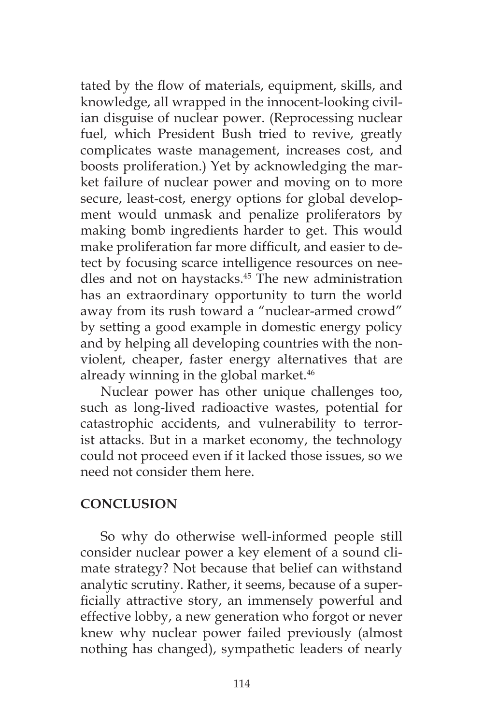tated by the flow of materials, equipment, skills, and knowledge, all wrapped in the innocent-looking civilian disguise of nuclear power. (Reprocessing nuclear fuel, which President Bush tried to revive, greatly complicates waste management, increases cost, and boosts proliferation.) Yet by acknowledging the market failure of nuclear power and moving on to more secure, least-cost, energy options for global development would unmask and penalize proliferators by making bomb ingredients harder to get. This would make proliferation far more difficult, and easier to detect by focusing scarce intelligence resources on needles and not on haystacks.<sup>45</sup> The new administration has an extraordinary opportunity to turn the world away from its rush toward a "nuclear-armed crowd" by setting a good example in domestic energy policy and by helping all developing countries with the nonviolent, cheaper, faster energy alternatives that are already winning in the global market.<sup>46</sup>

Nuclear power has other unique challenges too, such as long-lived radioactive wastes, potential for catastrophic accidents, and vulnerability to terrorist attacks. But in a market economy, the technology could not proceed even if it lacked those issues, so we need not consider them here.

## **CONCLUSION**

So why do otherwise well-informed people still consider nuclear power a key element of a sound climate strategy? Not because that belief can withstand analytic scrutiny. Rather, it seems, because of a superficially attractive story, an immensely powerful and effective lobby, a new generation who forgot or never knew why nuclear power failed previously (almost nothing has changed), sympathetic leaders of nearly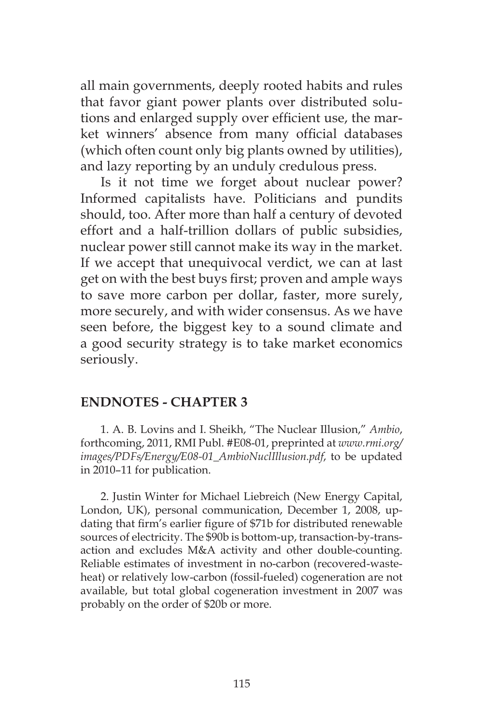all main governments, deeply rooted habits and rules that favor giant power plants over distributed solutions and enlarged supply over efficient use, the market winners' absence from many official databases (which often count only big plants owned by utilities), and lazy reporting by an unduly credulous press.

Is it not time we forget about nuclear power? Informed capitalists have. Politicians and pundits should, too. After more than half a century of devoted effort and a half-trillion dollars of public subsidies, nuclear power still cannot make its way in the market. If we accept that unequivocal verdict, we can at last get on with the best buys first; proven and ample ways to save more carbon per dollar, faster, more surely, more securely, and with wider consensus. As we have seen before, the biggest key to a sound climate and a good security strategy is to take market economics seriously.

## **ENDNOTES - CHAPTER 3**

1. A. B. Lovins and I. Sheikh, "The Nuclear Illusion," *Ambio*, forthcoming, 2011, RMI Publ. #E08-01, preprinted at *www.rmi.org/ images/PDFs/Energy/E08-01\_AmbioNuclIllusion.pdf*, to be updated in 2010–11 for publication.

2. Justin Winter for Michael Liebreich (New Energy Capital, London, UK), personal communication, December 1, 2008, updating that firm's earlier figure of \$71b for distributed renewable sources of electricity. The \$90b is bottom-up, transaction-by-transaction and excludes M&A activity and other double-counting. Reliable estimates of investment in no-carbon (recovered-wasteheat) or relatively low-carbon (fossil-fueled) cogeneration are not available, but total global cogeneration investment in 2007 was probably on the order of \$20b or more.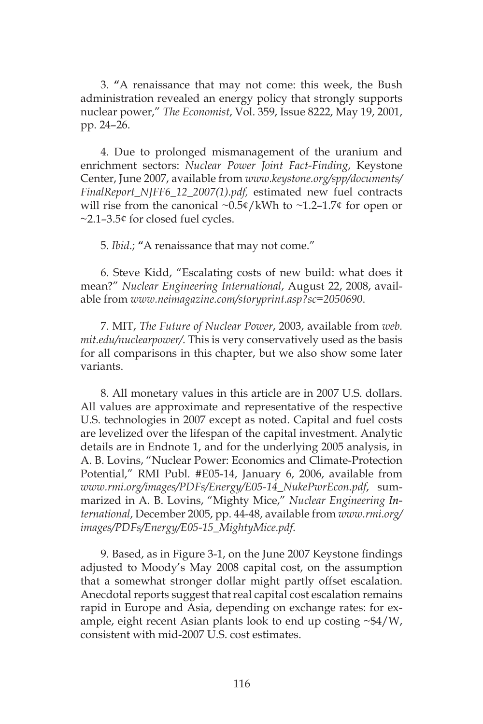3. **"**A renaissance that may not come: this week, the Bush administration revealed an energy policy that strongly supports nuclear power," *The Economist*, Vol. 359, Issue 8222, May 19, 2001, pp. 24–26.

4. Due to prolonged mismanagement of the uranium and enrichment sectors: *Nuclear Power Joint Fact-Finding*, Keystone Center, June 2007, available from *www.keystone.org/spp/documents/ FinalReport\_NJFF6\_12\_2007(1).pdf,* estimated new fuel contracts will rise from the canonical  $\sim 0.5$ ¢/kWh to  $\sim 1.2$ –1.7¢ for open or  $\sim$ 2.1–3.5 $\circ$  for closed fuel cycles.

5. *Ibid*.; **"**A renaissance that may not come."

6. Steve Kidd, "Escalating costs of new build: what does it mean?" *Nuclear Engineering International*, August 22, 2008, available from *www.neimagazine.com/storyprint.asp?sc=2050690*.

7. MIT, *The Future of Nuclear Power*, 2003, available from *web. mit.edu/nuclearpower/*. This is very conservatively used as the basis for all comparisons in this chapter, but we also show some later variants.

8. All monetary values in this article are in 2007 U.S. dollars. All values are approximate and representative of the respective U.S. technologies in 2007 except as noted. Capital and fuel costs are levelized over the lifespan of the capital investment. Analytic details are in Endnote 1, and for the underlying 2005 analysis, in A. B. Lovins, "Nuclear Power: Economics and Climate-Protection Potential," RMI Publ. #E05-14, January 6, 2006, available from *www.rmi.org/images/PDFs/Energy/E05-14\_NukePwrEcon.pdf*, summarized in A. B. Lovins, "Mighty Mice," *Nuclear Engineering International*, December 2005, pp. 44-48, available from *www.rmi.org/ images/PDFs/Energy/E05-15\_MightyMice.pdf*.

9. Based, as in Figure 3-1, on the June 2007 Keystone findings adjusted to Moody's May 2008 capital cost, on the assumption that a somewhat stronger dollar might partly offset escalation. Anecdotal reports suggest that real capital cost escalation remains rapid in Europe and Asia, depending on exchange rates: for example, eight recent Asian plants look to end up costing  $\sim $4/W$ , consistent with mid-2007 U.S. cost estimates.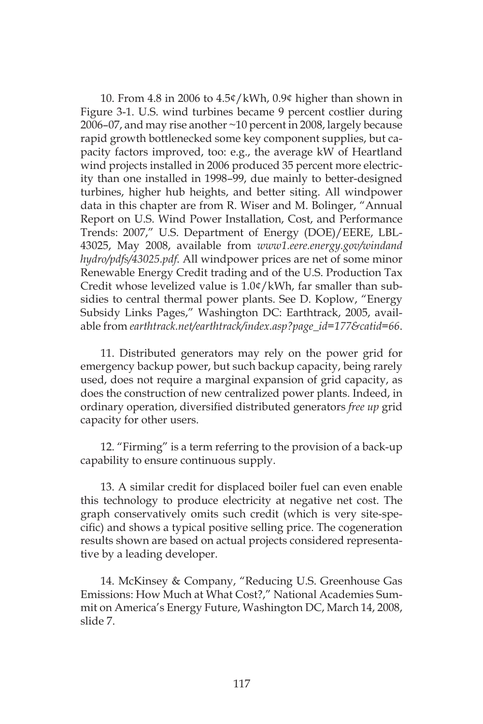10. From 4.8 in 2006 to 4.5¢/kWh, 0.9¢ higher than shown in Figure 3-1. U.S. wind turbines became 9 percent costlier during 2006–07, and may rise another ~10 percent in 2008, largely because rapid growth bottlenecked some key component supplies, but capacity factors improved, too: e.g., the average kW of Heartland wind projects installed in 2006 produced 35 percent more electricity than one installed in 1998–99, due mainly to better-designed turbines, higher hub heights, and better siting. All windpower data in this chapter are from R. Wiser and M. Bolinger, "Annual Report on U.S. Wind Power Installation, Cost, and Performance Trends: 2007," U.S. Department of Energy (DOE)/EERE, LBL-43025, May 2008, available from *www1.eere.energy.gov/windand hydro/pdfs/43025.pdf*. All windpower prices are net of some minor Renewable Energy Credit trading and of the U.S. Production Tax Credit whose levelized value is 1.0¢/kWh, far smaller than subsidies to central thermal power plants. See D. Koplow, "Energy Subsidy Links Pages," Washington DC: Earthtrack, 2005, available from *earthtrack.net/earthtrack/index.asp?page\_id=177&catid=66*.

11. Distributed generators may rely on the power grid for emergency backup power, but such backup capacity, being rarely used, does not require a marginal expansion of grid capacity, as does the construction of new centralized power plants. Indeed, in ordinary operation, diversified distributed generators *free up* grid capacity for other users.

12. "Firming" is a term referring to the provision of a back-up capability to ensure continuous supply.

13. A similar credit for displaced boiler fuel can even enable this technology to produce electricity at negative net cost. The graph conservatively omits such credit (which is very site-specific) and shows a typical positive selling price. The cogeneration results shown are based on actual projects considered representative by a leading developer.

14. McKinsey & Company, "Reducing U.S. Greenhouse Gas Emissions: How Much at What Cost?," National Academies Summit on America's Energy Future, Washington DC, March 14, 2008, slide 7.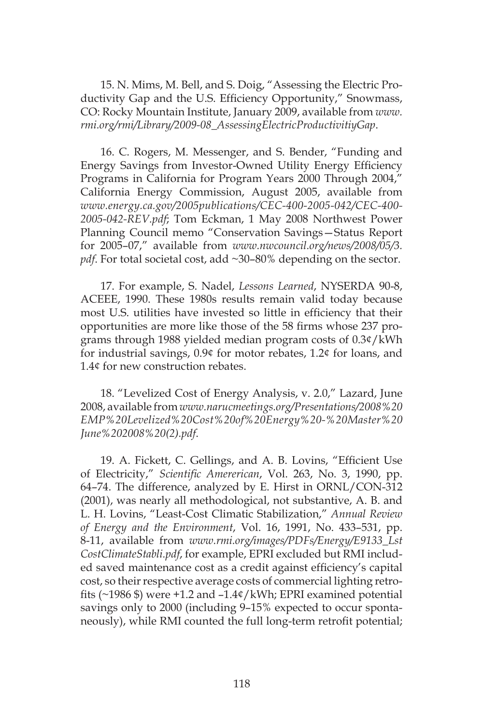15. N. Mims, M. Bell, and S. Doig, "Assessing the Electric Productivity Gap and the U.S. Efficiency Opportunity," Snowmass, CO: Rocky Mountain Institute, January 2009, available from *www. rmi.org/rmi/Library/2009-08\_AssessingElectricProductivitiyGap*.

16. C. Rogers, M. Messenger, and S. Bender, "Funding and Energy Savings from Investor-Owned Utility Energy Efficiency Programs in California for Program Years 2000 Through 2004," California Energy Commission, August 2005, available from *www.energy.ca.gov/2005publications/CEC-400-2005-042/CEC-400- 2005-042-REV.pdf*; Tom Eckman, 1 May 2008 Northwest Power Planning Council memo "Conservation Savings—Status Report for 2005–07," available from *www.nwcouncil.org/news/2008/05/3.* pdf. For total societal cost, add ~30–80% depending on the sector.

17. For example, S. Nadel, *Lessons Learned*, NYSERDA 90-8, ACEEE, 1990. These 1980s results remain valid today because most U.S. utilities have invested so little in efficiency that their opportunities are more like those of the 58 firms whose 237 programs through 1988 yielded median program costs of 0.3¢/kWh for industrial savings, 0.9¢ for motor rebates, 1.2¢ for loans, and 1.4¢ for new construction rebates.

18. "Levelized Cost of Energy Analysis, v. 2.0," Lazard, June 2008, available from *www.narucmeetings.org/Presentations/2008%20 EMP%20Levelized%20Cost%20of%20Energy%20-%20Master%20 June%202008%20(2).pdf*.

19. A. Fickett, C. Gellings, and A. B. Lovins, "Efficient Use of Electricity," *Scientific Amererican*, Vol. 263, No. 3, 1990, pp. 64–74. The difference, analyzed by E. Hirst in ORNL/CON-312 (2001), was nearly all methodological, not substantive, A. B. and L. H. Lovins, "Least-Cost Climatic Stabilization," *Annual Review of Energy and the Environment*, Vol. 16, 1991, No. 433–531, pp. 8-11, available from *www.rmi.org/images/PDFs/Energy/E9133\_Lst CostClimateStabli.pdf*, for example, EPRI excluded but RMI included saved maintenance cost as a credit against efficiency's capital cost, so their respective average costs of commercial lighting retrofits (~1986 \$) were +1.2 and –1.4¢/kWh; EPRI examined potential savings only to 2000 (including 9–15% expected to occur spontaneously), while RMI counted the full long-term retrofit potential;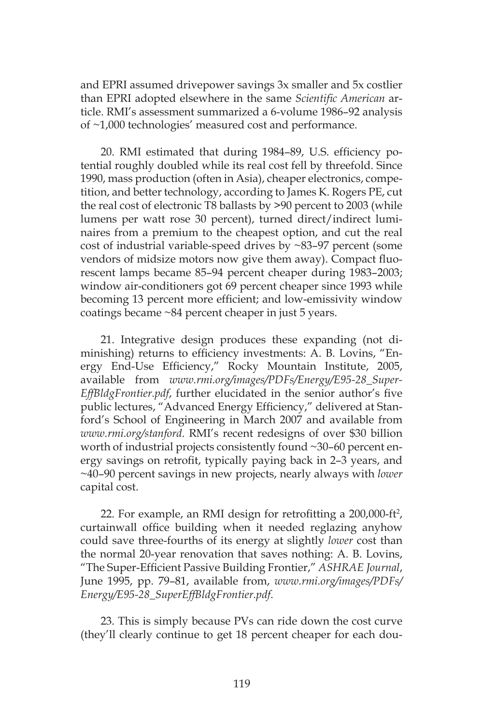and EPRI assumed drivepower savings 3x smaller and 5x costlier than EPRI adopted elsewhere in the same *Scientific American* article. RMI's assessment summarized a 6-volume 1986–92 analysis of ~1,000 technologies' measured cost and performance.

20. RMI estimated that during 1984–89, U.S. efficiency potential roughly doubled while its real cost fell by threefold. Since 1990, mass production (often in Asia), cheaper electronics, competition, and better technology, according to James K. Rogers PE, cut the real cost of electronic T8 ballasts by >90 percent to 2003 (while lumens per watt rose 30 percent), turned direct/indirect luminaires from a premium to the cheapest option, and cut the real cost of industrial variable-speed drives by ~83–97 percent (some vendors of midsize motors now give them away). Compact fluorescent lamps became 85–94 percent cheaper during 1983–2003; window air-conditioners got 69 percent cheaper since 1993 while becoming 13 percent more efficient; and low-emissivity window coatings became ~84 percent cheaper in just 5 years.

21. Integrative design produces these expanding (not diminishing) returns to efficiency investments: A. B. Lovins, "Energy End-Use Efficiency," Rocky Mountain Institute, 2005, available from *www.rmi.org/images/PDFs/Energy/E95-28\_Super-EffBldgFrontier.pdf*, further elucidated in the senior author's five public lectures, "Advanced Energy Efficiency," delivered at Stanford's School of Engineering in March 2007 and available from *www.rmi.org/stanford*. RMI's recent redesigns of over \$30 billion worth of industrial projects consistently found ~30–60 percent energy savings on retrofit, typically paying back in 2–3 years, and ~40–90 percent savings in new projects, nearly always with *lower*  capital cost.

22. For example, an RMI design for retrofitting a 200,000-ft<sup>2</sup>, curtainwall office building when it needed reglazing anyhow could save three-fourths of its energy at slightly *lower* cost than the normal 20-year renovation that saves nothing: A. B. Lovins, "The Super-Efficient Passive Building Frontier," *ASHRAE Journal*, June 1995, pp. 79–81, available from, *www.rmi.org/images/PDFs/ Energy/E95-28\_SuperEffBldgFrontier.pdf*.

23. This is simply because PVs can ride down the cost curve (they'll clearly continue to get 18 percent cheaper for each dou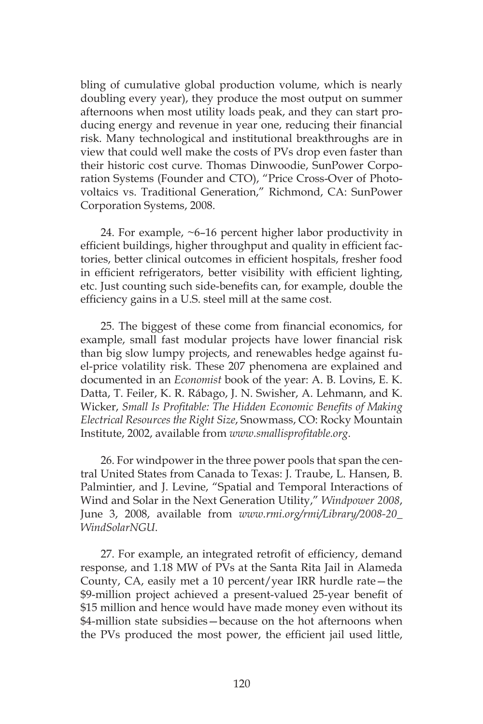bling of cumulative global production volume, which is nearly doubling every year), they produce the most output on summer afternoons when most utility loads peak, and they can start producing energy and revenue in year one, reducing their financial risk. Many technological and institutional breakthroughs are in view that could well make the costs of PVs drop even faster than their historic cost curve. Thomas Dinwoodie, SunPower Corporation Systems (Founder and CTO), "Price Cross-Over of Photovoltaics vs. Traditional Generation," Richmond, CA: SunPower Corporation Systems, 2008.

24. For example, ~6–16 percent higher labor productivity in efficient buildings, higher throughput and quality in efficient factories, better clinical outcomes in efficient hospitals, fresher food in efficient refrigerators, better visibility with efficient lighting, etc. Just counting such side-benefits can, for example, double the efficiency gains in a U.S. steel mill at the same cost.

25. The biggest of these come from financial economics, for example, small fast modular projects have lower financial risk than big slow lumpy projects, and renewables hedge against fuel-price volatility risk. These 207 phenomena are explained and documented in an *Economist* book of the year: A. B. Lovins, E. K. Datta, T. Feiler, K. R. Rábago, J. N. Swisher, A. Lehmann, and K. Wicker, *Small Is Profitable: The Hidden Economic Benefits of Making Electrical Resources the Right Size*, Snowmass, CO: Rocky Mountain Institute, 2002, available from *www.smallisprofitable.org*.

26. For windpower in the three power pools that span the central United States from Canada to Texas: J. Traube, L. Hansen, B. Palmintier, and J. Levine, "Spatial and Temporal Interactions of Wind and Solar in the Next Generation Utility," *Windpower 2008*, June 3, 2008, available from *www.rmi.org/rmi/Library/2008-20\_ WindSolarNGU*.

27. For example, an integrated retrofit of efficiency, demand response, and 1.18 MW of PVs at the Santa Rita Jail in Alameda County, CA, easily met a 10 percent/year IRR hurdle rate—the \$9-million project achieved a present-valued 25-year benefit of \$15 million and hence would have made money even without its \$4-million state subsidies—because on the hot afternoons when the PVs produced the most power, the efficient jail used little,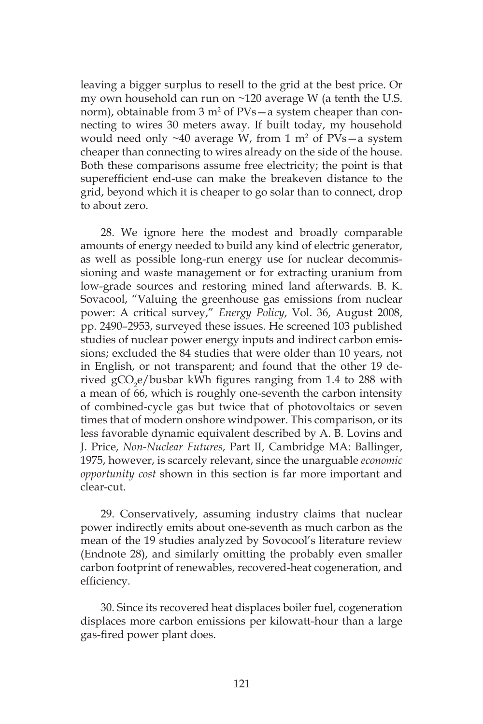leaving a bigger surplus to resell to the grid at the best price. Or my own household can run on ~120 average W (a tenth the U.S. norm), obtainable from 3 m<sup>2</sup> of PVs—a system cheaper than connecting to wires 30 meters away. If built today, my household would need only  $\sim$ 40 average W, from 1 m<sup>2</sup> of PVs $-$ a system cheaper than connecting to wires already on the side of the house. Both these comparisons assume free electricity; the point is that superefficient end-use can make the breakeven distance to the grid, beyond which it is cheaper to go solar than to connect, drop to about zero.

28. We ignore here the modest and broadly comparable amounts of energy needed to build any kind of electric generator, as well as possible long-run energy use for nuclear decommissioning and waste management or for extracting uranium from low-grade sources and restoring mined land afterwards. B. K. Sovacool, "Valuing the greenhouse gas emissions from nuclear power: A critical survey," *Energy Policy*, Vol. 36, August 2008, pp. 2490–2953, surveyed these issues. He screened 103 published studies of nuclear power energy inputs and indirect carbon emissions; excluded the 84 studies that were older than 10 years, not in English, or not transparent; and found that the other 19 derived  $\rm gCO_2$ e/busbar kWh figures ranging from 1.4 to 288 with a mean of 66, which is roughly one-seventh the carbon intensity of combined-cycle gas but twice that of photovoltaics or seven times that of modern onshore windpower. This comparison, or its less favorable dynamic equivalent described by A. B. Lovins and J. Price, *Non-Nuclear Futures*, Part II, Cambridge MA: Ballinger, 1975, however, is scarcely relevant, since the unarguable *economic opportunity cost* shown in this section is far more important and clear-cut.

29. Conservatively, assuming industry claims that nuclear power indirectly emits about one-seventh as much carbon as the mean of the 19 studies analyzed by Sovocool's literature review (Endnote 28), and similarly omitting the probably even smaller carbon footprint of renewables, recovered-heat cogeneration, and efficiency.

30. Since its recovered heat displaces boiler fuel, cogeneration displaces more carbon emissions per kilowatt-hour than a large gas-fired power plant does.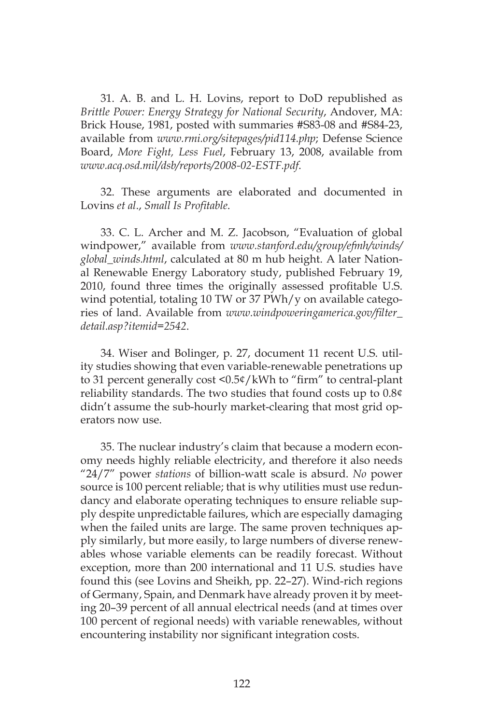31. A. B. and L. H. Lovins, report to DoD republished as *Brittle Power: Energy Strategy for National Security*, Andover, MA: Brick House, 1981, posted with summaries #S83-08 and #S84-23, available from *www.rmi.org/sitepages/pid114.php*; Defense Science Board, *More Fight, Less Fuel*, February 13, 2008, available from *www.acq.osd.mil/dsb/reports/2008-02-ESTF.pdf*.

32. These arguments are elaborated and documented in Lovins *et al*., *Small Is Profitable*.

33. C. L. Archer and M. Z. Jacobson, "Evaluation of global windpower," available from *www.stanford.edu/group/efmh/winds/ global\_winds.html*, calculated at 80 m hub height. A later National Renewable Energy Laboratory study, published February 19, 2010, found three times the originally assessed profitable U.S. wind potential, totaling 10 TW or 37 PWh/y on available categories of land. Available from *www.windpoweringamerica.gov/filter\_ detail.asp?itemid=2542*.

34. Wiser and Bolinger, p. 27, document 11 recent U.S. utility studies showing that even variable-renewable penetrations up to 31 percent generally cost <0.5¢/kWh to "firm" to central-plant reliability standards. The two studies that found costs up to 0.8¢ didn't assume the sub-hourly market-clearing that most grid operators now use.

35. The nuclear industry's claim that because a modern economy needs highly reliable electricity, and therefore it also needs "24/7" power *stations* of billion-watt scale is absurd. *No* power source is 100 percent reliable; that is why utilities must use redundancy and elaborate operating techniques to ensure reliable supply despite unpredictable failures, which are especially damaging when the failed units are large. The same proven techniques apply similarly, but more easily, to large numbers of diverse renewables whose variable elements can be readily forecast. Without exception, more than 200 international and 11 U.S. studies have found this (see Lovins and Sheikh, pp. 22–27). Wind-rich regions of Germany, Spain, and Denmark have already proven it by meeting 20–39 percent of all annual electrical needs (and at times over 100 percent of regional needs) with variable renewables, without encountering instability nor significant integration costs.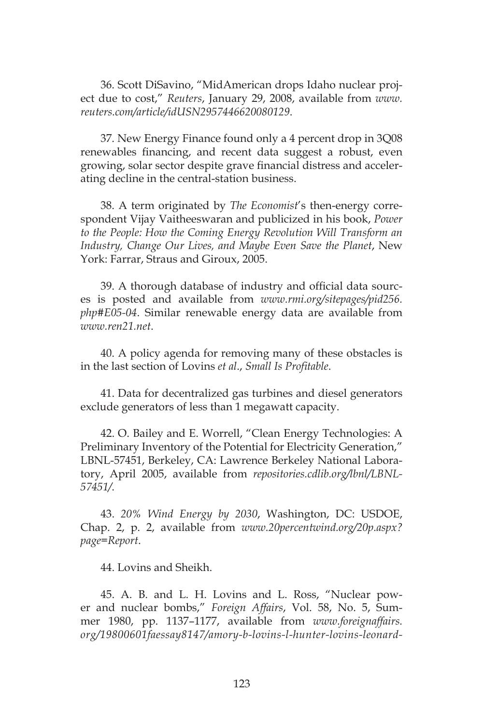36. Scott DiSavino, "MidAmerican drops Idaho nuclear project due to cost," *Reuters*, January 29, 2008, available from *www. reuters.com/article/idUSN2957446620080129*.

37. New Energy Finance found only a 4 percent drop in 3Q08 renewables financing, and recent data suggest a robust, even growing, solar sector despite grave financial distress and accelerating decline in the central-station business.

38. A term originated by *The Economist*'s then-energy correspondent Vijay Vaitheeswaran and publicized in his book, *Power to the People: How the Coming Energy Revolution Will Transform an Industry, Change Our Lives, and Maybe Even Save the Planet*, New York: Farrar, Straus and Giroux, 2005.

39. A thorough database of industry and official data sources is posted and available from *www.rmi.org/sitepages/pid256. php#E05-04*. Similar renewable energy data are available from *www.ren21.net*.

40. A policy agenda for removing many of these obstacles is in the last section of Lovins *et al*., *Small Is Profitable*.

41. Data for decentralized gas turbines and diesel generators exclude generators of less than 1 megawatt capacity.

42. O. Bailey and E. Worrell, "Clean Energy Technologies: A Preliminary Inventory of the Potential for Electricity Generation," LBNL-57451, Berkeley, CA: Lawrence Berkeley National Laboratory, April 2005, available from *repositories.cdlib.org/lbnl/LBNL-57451/*.

43. *20% Wind Energy by 2030*, Washington, DC: USDOE, Chap. 2, p. 2, available from *www.20percentwind.org/20p.aspx? page=Report*.

44. Lovins and Sheikh.

45. A. B. and L. H. Lovins and L. Ross, "Nuclear power and nuclear bombs," *Foreign Affairs*, Vol. 58, No. 5, Summer 1980, pp. 1137–1177, available from *www.foreignaffairs. org/19800601faessay8147/amory-b-lovins-l-hunter-lovins-leonard-*